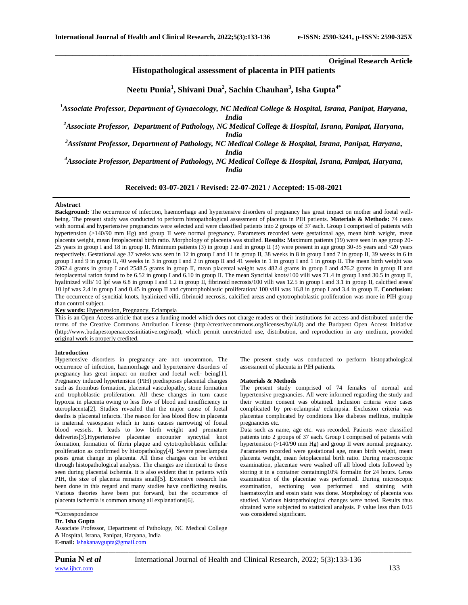**Original Research Article**

**Histopathological assessment of placenta in PIH patients**

\_\_\_\_\_\_\_\_\_\_\_\_\_\_\_\_\_\_\_\_\_\_\_\_\_\_\_\_\_\_\_\_\_\_\_\_\_\_\_\_\_\_\_\_\_\_\_\_\_\_\_\_\_\_\_\_\_\_\_\_\_\_\_\_\_\_\_\_\_\_\_\_\_\_\_\_\_\_\_\_\_\_\_\_\_\_\_\_\_\_\_\_\_\_\_\_\_\_\_\_\_\_\_

**Neetu Punia<sup>1</sup> , Shivani Dua<sup>2</sup> , Sachin Chauhan<sup>3</sup> , Isha Gupta4\***

*<sup>1</sup>Associate Professor, Department of Gynaecology, NC Medical College & Hospital, Israna, Panipat, Haryana, India*

*<sup>2</sup>Associate Professor, Department of Pathology, NC Medical College & Hospital, Israna, Panipat, Haryana, India*

*<sup>3</sup>Assistant Professor, Department of Pathology, NC Medical College & Hospital, Israna, Panipat, Haryana, India*

*<sup>4</sup>Associate Professor, Department of Pathology, NC Medical College & Hospital, Israna, Panipat, Haryana, India*

**Received: 03-07-2021 / Revised: 22-07-2021 / Accepted: 15-08-2021**

## **Abstract**

**Background:** The occurrence of infection, haemorrhage and hypertensive disorders of pregnancy has great impact on mother and foetal wellbeing. The present study was conducted to perform histopathological assessment of placenta in PIH patients. **Materials & Methods:** 74 cases with normal and hypertensive pregnancies were selected and were classified patients into 2 groups of 37 each. Group I comprised of patients with hypertension (>140/90 mm Hg) and group II were normal pregnancy. Parameters recorded were gestational age, mean birth weight, mean placenta weight, mean fetoplacental birth ratio. Morphology of placenta was studied. **Results:** Maximum patients (19) were seen in age group 20- 25 years in group I and 18 in group II. Minimum patients (3) in group I and in group II (3) were present in age group 30-35 years and <20 years respectively. Gestational age 37 weeks was seen in 12 in group I and 11 in group II, 38 weeks in 8 in group I and 7 in group II, 39 weeks in 6 in group I and 9 in group II, 40 weeks in 3 in group I and 2 in group II and 41 weeks in 1 in group I and 1 in group II. The mean birth weight was 2862.4 grams in group I and 2548.5 grams in group II, mean placental weight was 482.4 grams in group I and 476.2 grams in group II and fetoplacental ration found to be 6.52 in group I and 6.10 in group II. The mean Syncitial knots/100 villi was 71.4 in group I and 30.5 in group II, hyalinized villi/ 10 lpf was 6.8 in group I and 1.2 in group II, fibrinoid necrosis/100 villi was 12.5 in group I and 3.1 in group II, calcified areas/ 10 lpf was 2.4 in group I and 0.45 in group II and cytotrophoblastic proliferation/ 100 villi was 16.8 in group I and 3.4 in group II. **Conclusion:** The occurrence of syncitial knots, hyalinized villi, fibrinoid necrosis, calcified areas and cytotrophoblastic proliferation was more in PIH group than control subject.

## **Key words:** Hypertension, Pregnancy, Eclampsia

This is an Open Access article that uses a funding model which does not charge readers or their institutions for access and distributed under the terms of the Creative Commons Attribution License (http://creativecommons.org/licenses/by/4.0) and the Budapest Open Access Initiative (http://www.budapestopenaccessinitiative.org/read), which permit unrestricted use, distribution, and reproduction in any medium, provided original work is properly credited.

### **Introduction**

Hypertensive disorders in pregnancy are not uncommon. The occurrence of infection, haemorrhage and hypertensive disorders of pregnancy has great impact on mother and foetal well- being[1]. Pregnancy induced hypertension (PIH) predisposes placental changes such as thrombus formation, placental vasculopathy, stone formation and trophoblastic proliferation. All these changes in turn cause hypoxia in placenta owing to less flow of blood and insufficiency in uteroplacenta[2]. Studies revealed that the major cause of foetal deaths is placental infarcts. The reason for less blood flow in placenta is maternal vasospasm which in turns causes narrowing of foetal blood vessels. It leads to low birth weight and premature deliveries[3].Hypertensive placentae encounter syncytial knot formation, formation of fibrin plaque and cytotrophoblastic cellular proliferation as confirmed by histopathology[4]. Severe preeclampsia poses great change in placenta. All these changes can be evident through histopathological analysis. The changes are identical to those seen during placental ischemia. It is also evident that in patients with PIH, the size of placenta remains small[5]. Extensive research has been done in this regard and many studies have conflicting results. Various theories have been put forward, but the occurrence of placenta ischemia is common among all explanations[6].

# **Dr. Isha Gupta**

Associate Professor, Department of Pathology, NC Medical College & Hospital, Israna, Panipat, Haryana, India **E-mail:** [Ishakanavgupta@gmail.com](mailto:Ishakanavgupta@gmail.com)

*\_\_\_\_\_\_\_\_\_\_\_\_\_\_\_\_\_\_\_\_\_\_\_\_\_\_\_\_\_\_\_\_\_\_\_\_\_\_\_\_\_\_\_\_\_\_\_\_\_\_\_\_\_\_\_\_\_\_\_\_\_\_\_\_\_\_\_\_\_\_\_\_\_\_\_\_\_\_\_\_\_\_\_\_\_\_\_\_\_\_\_\_\_\_\_\_\_\_\_\_\_\_\_\_\_\_\_\_\_\_\_\_\_\_\_\_\_\_\_\_\_\_\_\_\_\_\_\_\_\_\_\_\_\_\_\_\_\_\_\_*

The present study was conducted to perform histopathological assessment of placenta in PIH patients.

### **Materials & Methods**

The present study comprised of 74 females of normal and hypertensive pregnancies. All were informed regarding the study and their written consent was obtained. Inclusion criteria were cases complicated by pre-eclampsia/ eclampsia. Exclusion criteria was placentae complicated by conditions like diabetes mellitus, multiple pregnancies etc.

Data such as name, age etc. was recorded. Patients were classified patients into 2 groups of 37 each. Group I comprised of patients with hypertension (>140/90 mm Hg) and group II were normal pregnancy. Parameters recorded were gestational age, mean birth weight, mean placenta weight, mean fetoplacental birth ratio. During macroscopic examination, placentae were washed off all blood clots followed by storing it in a container containing10% formalin for 24 hours. Gross examination of the placentae was performed. During microscopic examination, sectioning was performed and staining with haematoxylin and eosin stain was done. Morphology of placenta was studied. Various histopathological changes were noted. Results thus obtained were subjected to statistical analysis. P value less than 0.05 was considered significant.

<sup>\*</sup>Correspondence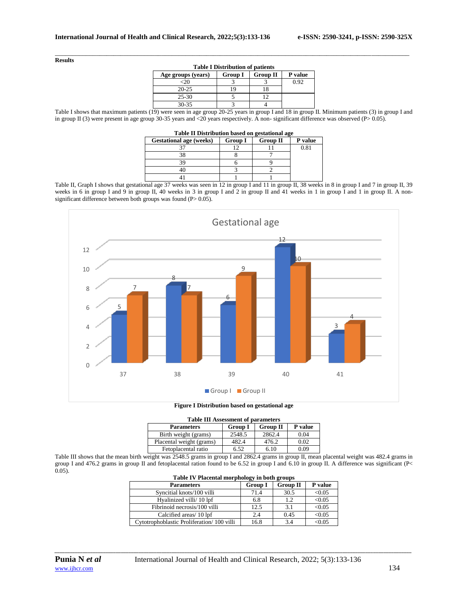## **Results**

\_\_\_\_\_\_\_\_\_\_\_\_\_\_\_\_\_\_\_\_\_\_\_\_\_\_\_\_\_\_\_\_\_\_\_\_\_\_\_\_\_\_\_\_\_\_\_\_\_\_\_\_\_\_\_\_\_\_\_\_\_\_\_\_\_\_\_\_\_\_\_\_\_\_\_\_\_\_\_\_\_\_\_\_\_\_\_\_\_\_\_\_\_\_\_\_\_\_\_\_\_\_\_ **Table I Distribution of patients**

| Age groups (years) | <b>Group I</b> | <b>Group II</b> | P value |
|--------------------|----------------|-----------------|---------|
|                    |                |                 | 0.92    |
| $20 - 25$          |                |                 |         |
| $25 - 30$          |                |                 |         |
| $30 - 35$          |                |                 |         |

Table I shows that maximum patients (19) were seen in age group 20-25 years in group I and 18 in group II. Minimum patients (3) in group I and in group II (3) were present in age group 30-35 years and <20 years respectively. A non- significant difference was observed (P> 0.05).

| Table II Distribution based on gestational age |                |                 |         |  |
|------------------------------------------------|----------------|-----------------|---------|--|
| <b>Gestational age (weeks)</b>                 | <b>Group I</b> | <b>Group II</b> | P value |  |
|                                                |                |                 | 0.81    |  |
|                                                |                |                 |         |  |
|                                                |                |                 |         |  |
|                                                |                |                 |         |  |
|                                                |                |                 |         |  |

Table II, Graph I shows that gestational age 37 weeks was seen in 12 in group I and 11 in group II, 38 weeks in 8 in group I and 7 in group II, 39 weeks in 6 in group I and 9 in group II, 40 weeks in 3 in group I and 2 in group II and 41 weeks in 1 in group I and 1 in group II. A nonsignificant difference between both groups was found (P> 0.05).



**Figure I Distribution based on gestational age**

|  |  |  |  | <b>Table III Assessment of parameters</b> |
|--|--|--|--|-------------------------------------------|
|--|--|--|--|-------------------------------------------|

| rabic in Assessment or parameters |                |                 |                |  |
|-----------------------------------|----------------|-----------------|----------------|--|
| <b>Parameters</b>                 | <b>Group I</b> | <b>Group II</b> | <b>P</b> value |  |
| Birth weight (grams)              | 2548.5         | 2862.4          | 0.04           |  |
| Placental weight (grams)          | 482.4          | 476.2           | 0.02           |  |
| Fetoplacental ratio               | 6.52           | 6.10            | 0.09           |  |

Table III shows that the mean birth weight was 2548.5 grams in group I and 2862.4 grams in group II, mean placental weight was 482.4 grams in group I and 476.2 grams in group II and fetoplacental ration found to be 6.52 in group I and 6.10 in group II. A difference was significant (P< 0.05).

| Table IV Placental morphology in both groups |                |                 |         |  |
|----------------------------------------------|----------------|-----------------|---------|--|
| <b>Parameters</b>                            | <b>Group I</b> | <b>Group II</b> | P value |  |
| Syncitial knots/100 villi                    | 71.4           | 30.5            | < 0.05  |  |
| Hyalinized villi/ 10 lpf                     | 6.8            | 1.2             | < 0.05  |  |
| Fibrinoid necrosis/100 villi                 | 12.5           | 3.1             | < 0.05  |  |
| Calcified areas/10 lpf                       | 2.4            | 0.45            | < 0.05  |  |
| Cytotrophoblastic Proliferation/100 villi    | 16.8           | 34              | < 0.05  |  |

*\_\_\_\_\_\_\_\_\_\_\_\_\_\_\_\_\_\_\_\_\_\_\_\_\_\_\_\_\_\_\_\_\_\_\_\_\_\_\_\_\_\_\_\_\_\_\_\_\_\_\_\_\_\_\_\_\_\_\_\_\_\_\_\_\_\_\_\_\_\_\_\_\_\_\_\_\_\_\_\_\_\_\_\_\_\_\_\_\_\_\_\_\_\_\_\_\_\_\_\_\_\_\_\_\_\_\_\_\_\_\_\_\_\_\_\_\_\_\_\_\_\_\_\_\_\_\_\_\_\_\_\_\_\_\_\_\_\_\_\_*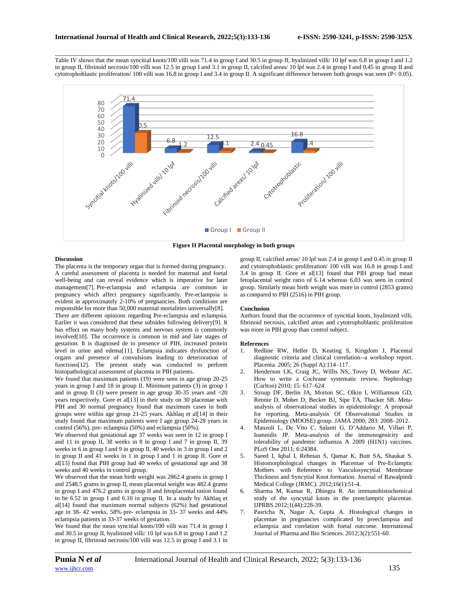\_\_\_\_\_\_\_\_\_\_\_\_\_\_\_\_\_\_\_\_\_\_\_\_\_\_\_\_\_\_\_\_\_\_\_\_\_\_\_\_\_\_\_\_\_\_\_\_\_\_\_\_\_\_\_\_\_\_\_\_\_\_\_\_\_\_\_\_\_\_\_\_\_\_\_\_\_\_\_\_\_\_\_\_\_\_\_\_\_\_\_\_\_\_\_\_\_\_\_\_\_\_\_ Table IV shows that the mean syncitial knots/100 villi was 71.4 in group I and 30.5 in group II, hyalinized villi/ 10 lpf was 6.8 in group I and 1.2 in group II, fibrinoid necrosis/100 villi was 12.5 in group I and 3.1 in group II, calcified areas/ 10 lpf was 2.4 in group I and 0.45 in group II and cytotrophoblastic proliferation/ 100 villi was 16.8 in group I and 3.4 in group II. A significant difference between both groups was seen (P< 0.05).



**Figure II Placental morphology in both groups**

#### **Discussion**

The placenta is the temporary organ that is formed during pregnancy. A careful assessment of placenta is needed for maternal and foetal well-being and can reveal evidence which is imperative for later management[7]. Pre-eclampsia and eclampsia are common in pregnancy which affect pregnancy significantly. Pre-eclampsia is evident in approximately 2-10% of pregnancies. Both conditions are responsible for more than 50,000 maternal mortalities universally[8].

There are different opinions regarding Pre-eclampsia and eclampsia. Earlier it was considered that these subsides following delivery[9]. It has effect on many body systems and nervous system is commonly involved[10]. The occurrence is common in mid and late stages of gestation. It is diagnosed de to presence of PIH, increased protein level in urine and edema[11]. Eclampsia indicates dysfunction of organs and presence of convulsions leading to deterioration of functions[12]. The present study was conducted to perform histopathological assessment of placenta in PIH patients.

We found that maximum patients (19) were seen in age group 20-25 years in group I and 18 in group II. Minimum patients (3) in group I and in group II (3) were present in age group 30-35 years and <20 years respectively. Gore et al[13] in their study on 30 placentae with PIH and 30 normal pregnancy found that maximum cases in both groups were within age group 21-25 years. Akhlaq et al[14] in their study found that maximum patients were I age group 24-28 years in control (56%), pre- eclampsia (50%) and eclampsia (50%).

We observed that gestational age 37 weeks was seen in 12 in group I and 11 in group II, 38 weeks in 8 in group I and 7 in group II, 39 weeks in 6 in group I and 9 in group II, 40 weeks in 3 in group I and 2 in group II and 41 weeks in 1 in group I and 1 in group II. Gore et al[13] found that PIH group had 40 weeks of gestational age and 38 weeks and 40 weeks in control group.

We observed that the mean birth weight was 2862.4 grams in group I and 2548.5 grams in group II, mean placental weight was 482.4 grams in group I and 476.2 grams in group II and fetoplacental ration found to be 6.52 in group I and 6.10 in group II. In a study by Akhlaq et al[14] found that maximum normal subjects (62%) had gestational age in 38- 42 weeks, 58% pre- eclampsia in 33- 37 weeks and 44% eclampsia patients in 33-37 weeks of gestation.

We found that the mean syncitial knots/100 villi was 71.4 in group I and 30.5 in group II, hyalinized villi/ 10 lpf was 6.8 in group I and 1.2 in group II, fibrinoid necrosis/100 villi was 12.5 in group I and 3.1 in group II, calcified areas/ 10 lpf was 2.4 in group I and 0.45 in group II and cytotrophoblastic proliferation/ 100 villi was 16.8 in group I and 3.4 in group II. Gore et al[13] found that PIH group had mean fetoplacental weight ratio of 6.14 whereas 6.03 was seen in control group. Similarly mean birth weight was more in control (2853 grams) as compared to PIH (2516) in PIH group.

#### **Conclusion**

Authors found that the occurrence of syncitial knots, hyalinized villi, fibrinoid necrosis, calcified areas and cytotrophoblastic proliferation was more in PIH group than control subject.

#### **References**

- 1. Redline RW, Heller D, Keating S, Kingdom J. Placental diagnostic criteria and clinical correlation--a workshop report. Placenta. 2005; 26 (Suppl A):114–117.
- 2. Henderson LK, Craig JC, Willis NS, Tovey D, Webster AC. How to write a Cochrane systematic review. Nephrology (Carlton) 2010; 15: 617–624.
- 3. Stroup DF, Berlin JA, Morton SC, Olkin I, Williamson GD, Rennie D, Moher D, Becker BJ, Sipe TA, Thacker SB. Metaanalysis of observational studies in epidemiology: A proposal for reporting. Meta-analysis Of Observational Studies in Epidemiology (MOOSE) group. JAMA 2000; 283: 2008–2012.
- 4. Manzoli L, De Vito C, Salanti G, D'Addario M, Villari P, Ioannidis JP. Meta-analysis of the immunogenicity and tolerability of pandemic influenza A 2009 (H1N1) vaccines. PLoS One 2011; 6:24384.
- 5. Saeed I, Iqbal I, Rehman S, Qamar K, Butt SA, Shaukat S. Histomorphological changes in Placentae of Pre-Eclamptic Mothers with Reference to Vasculosyncytial Membrane Thickness and Syncytial Knot formation. Journal of Rawalpindi Medical College (JRMC). 2012;16(1):51-4.
- 6. Sharma M, Kumar R, Dhingra R. An immunohistochemical study of the syncytial knots in the preeclamptic placentae. IJPRBS 2012;1(44):228-39.
- 7. Pasricha N, Nagar A, Gupta A. Histological changes in placentae in pregnancies complicated by preeclampsia and eclampsia and corelation with foetal outcome. International Journal of Pharma and Bio Sciences. 2012;3(2):551-60.

*\_\_\_\_\_\_\_\_\_\_\_\_\_\_\_\_\_\_\_\_\_\_\_\_\_\_\_\_\_\_\_\_\_\_\_\_\_\_\_\_\_\_\_\_\_\_\_\_\_\_\_\_\_\_\_\_\_\_\_\_\_\_\_\_\_\_\_\_\_\_\_\_\_\_\_\_\_\_\_\_\_\_\_\_\_\_\_\_\_\_\_\_\_\_\_\_\_\_\_\_\_\_\_\_\_\_\_\_\_\_\_\_\_\_\_\_\_\_\_\_\_\_\_\_\_\_\_\_\_\_\_\_\_\_\_\_\_\_\_\_*